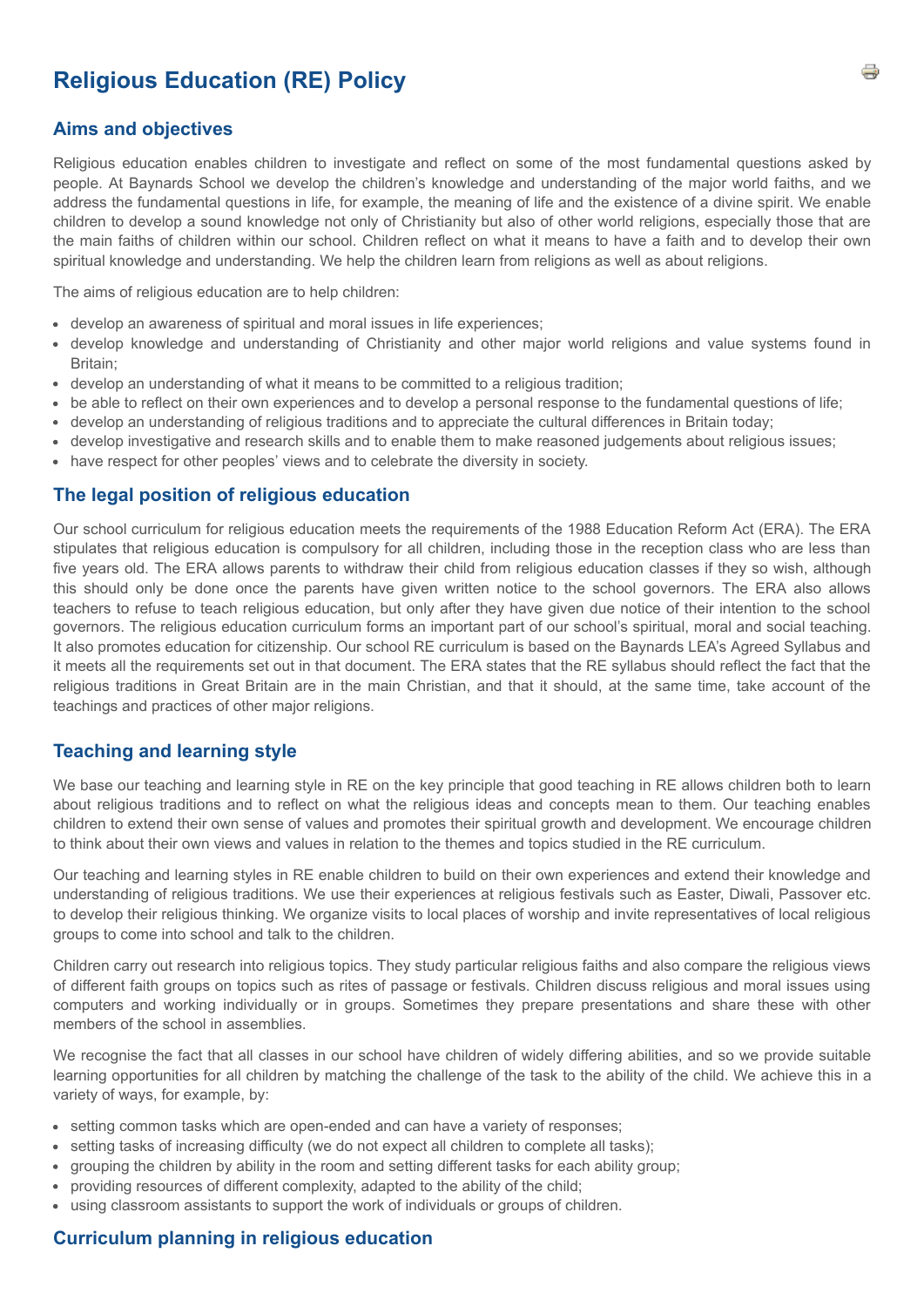# **Religious Education (RE) Policy**

## **Aims and objectives**

Religious education enables children to investigate and reflect on some of the most fundamental questions asked by people. At Baynards School we develop the children's knowledge and understanding of the major world faiths, and we address the fundamental questions in life, for example, the meaning of life and the existence of a divine spirit. We enable children to develop a sound knowledge not only of Christianity but also of other world religions, especially those that are the main faiths of children within our school. Children reflect on what it means to have a faith and to develop their own spiritual knowledge and understanding. We help the children learn from religions as well as about religions.

The aims of religious education are to help children:

- develop an awareness of spiritual and moral issues in life experiences;
- develop knowledge and understanding of Christianity and other major world religions and value systems found in Britain;
- develop an understanding of what it means to be committed to a religious tradition;
- be able to reflect on their own experiences and to develop a personal response to the fundamental questions of life;
- develop an understanding of religious traditions and to appreciate the cultural differences in Britain today;
- develop investigative and research skills and to enable them to make reasoned judgements about religious issues;
- have respect for other peoples' views and to celebrate the diversity in society.

### **The legal position of religious education**

Our school curriculum for religious education meets the requirements of the 1988 Education Reform Act (ERA). The ERA stipulates that religious education is compulsory for all children, including those in the reception class who are less than five years old. The ERA allows parents to withdraw their child from religious education classes if they so wish, although this should only be done once the parents have given written notice to the school governors. The ERA also allows teachers to refuse to teach religious education, but only after they have given due notice of their intention to the school governors. The religious education curriculum forms an important part of our school's spiritual, moral and social teaching. It also promotes education for citizenship. Our school RE curriculum is based on the Baynards LEA's Agreed Syllabus and it meets all the requirements set out in that document. The ERA states that the RE syllabus should reflect the fact that the religious traditions in Great Britain are in the main Christian, and that it should, at the same time, take account of the teachings and practices of other major religions.

### **Teaching and learning style**

We base our teaching and learning style in RE on the key principle that good teaching in RE allows children both to learn about religious traditions and to reflect on what the religious ideas and concepts mean to them. Our teaching enables children to extend their own sense of values and promotes their spiritual growth and development. We encourage children to think about their own views and values in relation to the themes and topics studied in the RE curriculum.

Our teaching and learning styles in RE enable children to build on their own experiences and extend their knowledge and understanding of religious traditions. We use their experiences at religious festivals such as Easter, Diwali, Passover etc. to develop their religious thinking. We organize visits to local places of worship and invite representatives of local religious groups to come into school and talk to the children.

Children carry out research into religious topics. They study particular religious faiths and also compare the religious views of different faith groups on topics such as rites of passage or festivals. Children discuss religious and moral issues using computers and working individually or in groups. Sometimes they prepare presentations and share these with other members of the school in assemblies.

We recognise the fact that all classes in our school have children of widely differing abilities, and so we provide suitable learning opportunities for all children by matching the challenge of the task to the ability of the child. We achieve this in a variety of ways, for example, by:

- setting common tasks which are open-ended and can have a variety of responses;
- setting tasks of increasing difficulty (we do not expect all children to complete all tasks);
- grouping the children by ability in the room and setting different tasks for each ability group;
- providing resources of different complexity, adapted to the ability of the child;
- using classroom assistants to support the work of individuals or groups of children.

### **Curriculum planning in religious education**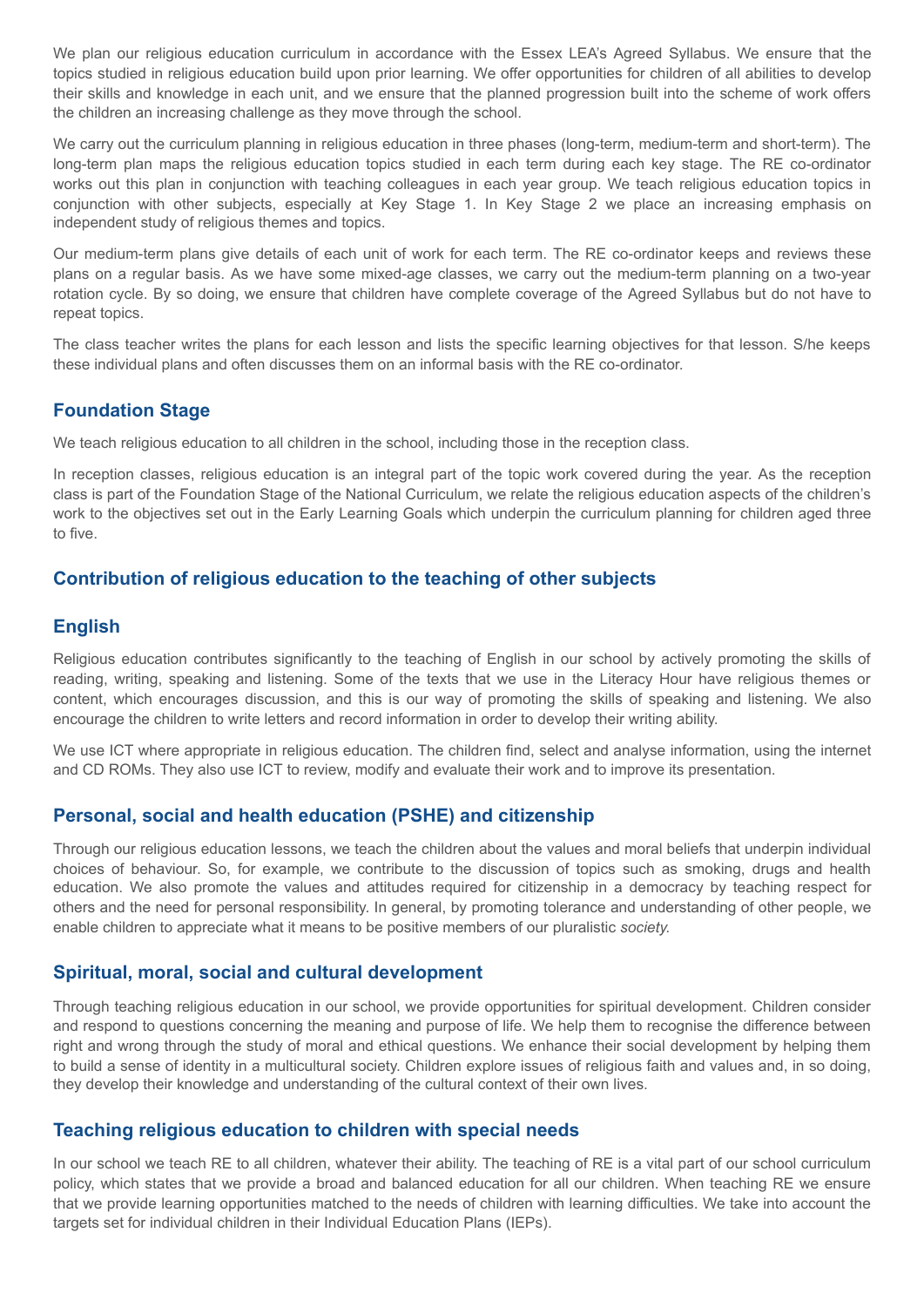We plan our religious education curriculum in accordance with the Essex LEA's Agreed Syllabus. We ensure that the topics studied in religious education build upon prior learning. We offer opportunities for children of all abilities to develop their skills and knowledge in each unit, and we ensure that the planned progression built into the scheme of work offers the children an increasing challenge as they move through the school.

We carry out the curriculum planning in religious education in three phases (long-term, medium-term and short-term). The long-term plan maps the religious education topics studied in each term during each key stage. The RE co-ordinator works out this plan in conjunction with teaching colleagues in each year group. We teach religious education topics in conjunction with other subjects, especially at Key Stage 1. In Key Stage 2 we place an increasing emphasis on independent study of religious themes and topics.

Our medium-term plans give details of each unit of work for each term. The RE co-ordinator keeps and reviews these plans on a regular basis. As we have some mixed-age classes, we carry out the medium-term planning on a two-year rotation cycle. By so doing, we ensure that children have complete coverage of the Agreed Syllabus but do not have to repeat topics.

The class teacher writes the plans for each lesson and lists the specific learning objectives for that lesson. S/he keeps these individual plans and often discusses them on an informal basis with the RE co-ordinator.

# **Foundation Stage**

We teach religious education to all children in the school, including those in the reception class.

In reception classes, religious education is an integral part of the topic work covered during the year. As the reception class is part of the Foundation Stage of the National Curriculum, we relate the religious education aspects of the children's work to the objectives set out in the Early Learning Goals which underpin the curriculum planning for children aged three to five.

# **Contribution of religious education to the teaching of other subjects**

## **English**

Religious education contributes significantly to the teaching of English in our school by actively promoting the skills of reading, writing, speaking and listening. Some of the texts that we use in the Literacy Hour have religious themes or content, which encourages discussion, and this is our way of promoting the skills of speaking and listening. We also encourage the children to write letters and record information in order to develop their writing ability.

We use ICT where appropriate in religious education. The children find, select and analyse information, using the internet and CD ROMs. They also use ICT to review, modify and evaluate their work and to improve its presentation.

# **Personal, social and health education (PSHE) and citizenship**

Through our religious education lessons, we teach the children about the values and moral beliefs that underpin individual choices of behaviour. So, for example, we contribute to the discussion of topics such as smoking, drugs and health education. We also promote the values and attitudes required for citizenship in a democracy by teaching respect for others and the need for personal responsibility. In general, by promoting tolerance and understanding of other people, we enable children to appreciate what it means to be positive members of our pluralistic *society.*

# **Spiritual, moral, social and cultural development**

Through teaching religious education in our school, we provide opportunities for spiritual development. Children consider and respond to questions concerning the meaning and purpose of life. We help them to recognise the difference between right and wrong through the study of moral and ethical questions. We enhance their social development by helping them to build a sense of identity in a multicultural society. Children explore issues of religious faith and values and, in so doing, they develop their knowledge and understanding of the cultural context of their own lives.

# **Teaching religious education to children with special needs**

In our school we teach RE to all children, whatever their ability. The teaching of RE is a vital part of our school curriculum policy, which states that we provide a broad and balanced education for all our children. When teaching RE we ensure that we provide learning opportunities matched to the needs of children with learning difficulties. We take into account the targets set for individual children in their Individual Education Plans (IEPs).